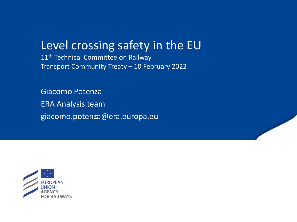# Level crossing safety in the EU

11<sup>th</sup> Technical Committee on Railway Transport Community Treaty – 10 February 2022

Giacomo Potenza ERA Analysis team giacomo.potenza@era.europa.eu

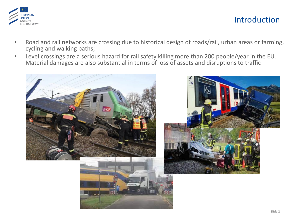

## Introduction

- Road and rail networks are crossing due to historical design of roads/rail, urban areas or farming, cycling and walking paths;
- Level crossings are a serious hazard for rail safety killing more than 200 people/year in the EU. Material damages are also substantial in terms of loss of assets and disruptions to traffic





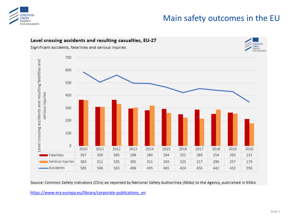

## Main safety outcomes in the EU



Source: Common Safety Indicators (CSIs) as reported by National Safety Authorities (NSAs) to the Agency, published in ERAIL

[https://www.era.europa.eu/library/corporate-publications\\_en](https://www.era.europa.eu/library/corporate-publications_en)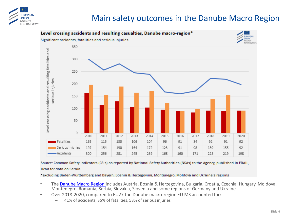

## Main safety outcomes in the Danube Macro Region



Source: Common Safety Indicators (CSIs) as reported by National Safety Authorities (NSAs) to the Agency, published in ERAIL,

#### Ilcad for data on Serbia

\*excluding Baden-Württemberg and Bayern, Bosnia & Herzegovina, Montenegro, Moldova and Ukraine's regions

- The [Danube Macro Region](https://danube-region.eu/) includes Austria, Bosnia & Herzegovina, Bulgaria, Croatia, Czechia, Hungary, Moldova, Montenegro, Romania, Serbia, Slovakia, Slovenia and some regions of Germany and Ukraine
- Over 2018-2020, compared to EU27 the Danube macro-region EU MS accounted for:
	- 41% of accidents, 35% of fatalities, 53% of serious injuries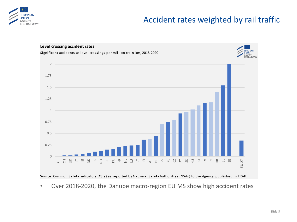

## Accident rates weighted by rail traffic



Source: Common Safety Indicators (CSIs) as reported by National Safety Authorities (NSAs) to the Agency, published in ERAIL

• Over 2018-2020, the Danube macro-region EU MS show high accident rates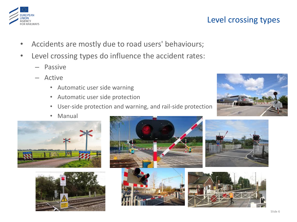## Level crossing types

- Accidents are mostly due to road users' behaviours;
- Level crossing types do influence the accident rates:
	- Passive
	- Active
		- Automatic user side warning
		- Automatic user side protection
		- User-side protection and warning, and rail-side protection
		- Manual

 $\sqrt{N}$ 

- 
- 











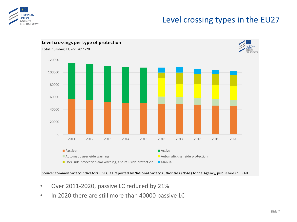

## Level crossing types in the EU27



- Over 2011-2020, passive LC reduced by 21%
-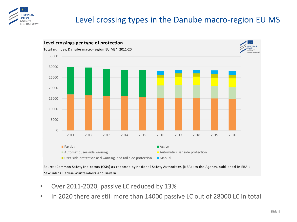

## Level crossing types in the Danube macro-region EU MS



Source: Common Safety Indicators (CSIs) as reported by National Safety Authorities (NSAs) to the Agency, published in ERAIL \*excluding Baden-Württemberg and Bayern

- Over 2011-2020, passive LC reduced by 13%
- In 2020 there are still more than 14000 passive LC out of 28000 LC in total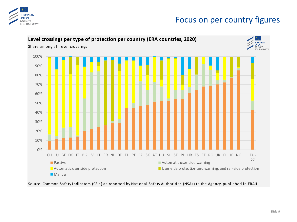

## Focus on per country figures



Source: Common Safety Indicators (CSIs) as reported by National Safety Authorities (NSAs) to the Agency, published in ERAIL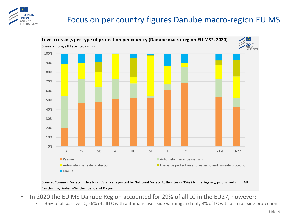

## Focus on per country figures Danube macro-region EU MS



Source: Common Safety Indicators (CSIs) as reported by National Safety Authorities (NSAs) to the Agency, published in ERAIL \*excluding Baden-Württemberg and Bayern

- In 2020 the EU MS Danube Region accounted for 29% of all LC in the EU27, however:
	- 36% of all passive LC, 56% of all LC with automatic user-side warning and only 8% of LC with also rail-side protection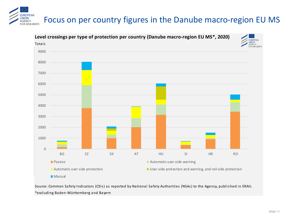#### **UROPFAN** Focus on per country figures in the Danube macro-region EU MS **INION GENCY** FOR RAILWAYS



Source: Common Safety Indicators (CSIs) as reported by National Safety Authorities (NSAs) to the Agency, published in ERAIL \*excluding Baden-Württemberg and Bayern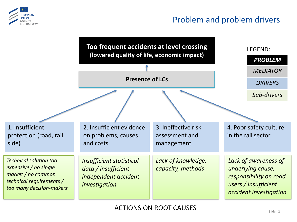

## Problem and problem drivers

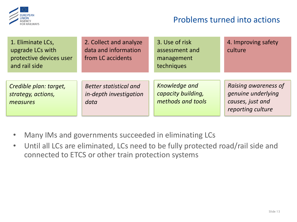

### Problems turned into actions

| 1. Eliminate LCs,<br>upgrade LCs with<br>protective devices user<br>and rail side | 2. Collect and analyze<br>data and information<br>from LC accidents | 3. Use of risk<br>assessment and<br>management<br>techniques | 4. Improving safety<br>culture                                                      |
|-----------------------------------------------------------------------------------|---------------------------------------------------------------------|--------------------------------------------------------------|-------------------------------------------------------------------------------------|
| Credible plan: target,<br>strategy, actions,<br>measures                          | <b>Better statistical and</b><br>in-depth investigation<br>data     | Knowledge and<br>capacity building,<br>methods and tools     | Raising awareness of<br>genuine underlying<br>causes, just and<br>reporting culture |

- Many IMs and governments succeeded in eliminating LCs
- Until all LCs are eliminated, LCs need to be fully protected road/rail side and connected to ETCS or other train protection systems